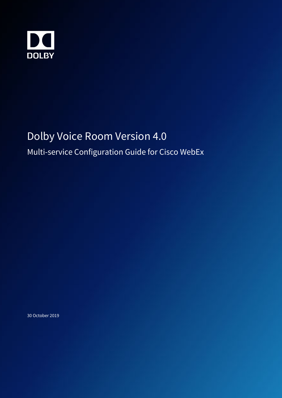

# Dolby Voice Room Version 4.0

## Multi-service Configuration Guide for Cisco WebEx

30 October 2019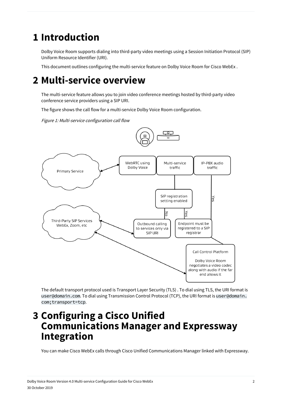## **1 Introduction**

Dolby Voice Room supports dialing into third-party video meetings using a Session Initiation Protocol (SIP) Uniform Resource Identifier (URI).

This document outlines configuring the multi-service feature on Dolby Voice Room for Cisco WebEx .

## **2 Multi-service overview**

The multi-service feature allows you to join video conference meetings hosted by third-party video conference service providers using a SIP URI.

The figure shows the call flow for a multi-service Dolby Voice Room configuration.

Figure 1: Multi-service configuration call flow





The default transport protocol used is Transport Layer Security (TLS) . To dial using TLS, the URI format is user@domain.com. To dial using Transmission Control Protocol (TCP), the URI format is user@domain. com;transport=tcp.

## **3 Configuring a Cisco Unified Communications Manager and Expressway Integration**

You can make Cisco WebEx calls through Cisco Unified Communications Manager linked with Expressway.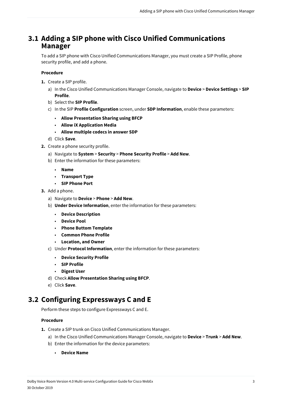#### **3.1 Adding a SIP phone with Cisco Unified Communications Manager**

To add a SIP phone with Cisco Unified Communications Manager, you must create a SIP Profile, phone security profile, and add a phone.

#### **Procedure**

- **1.** Create a SIP profile.
	- a) In the Cisco Unified Communications Manager Console, navigate to **Device** > **Device Settings** > **SIP Profile**.
	- b) Select the **SIP Profile**.
	- c) In the SIP **Profile Configuration** screen, under **SDP Information**, enable these parameters:
		- **Allow Presentation Sharing using BFCP**
		- **Allow iX Application Media**
		- **Allow multiple codecs in answer SDP**
	- d) Click **Save**.
- **2.** Create a phone security profile.
	- a) Navigate to **System** > **Security** > **Phone Security Profile** > **Add New**.
	- b) Enter the information for these parameters:
		- **Name**
		- **Transport Type**
		- **SIP Phone Port**
- **3.** Add a phone.
	- a) Navigate to **Device** > **Phone** > **Add New**.
	- b) **Under Device Information**, enter the information for these parameters:
		- **Device Description**
		- **Device Pool**
		- **Phone Buttom Template**
		- **Common Phone Profile**
		- **Location, and Owner**
	- c) Under **Protocol Information**, enter the information for these parameters:
		- **Device Security Profile**
		- **SIP Profile**
		- **Digest User**
	- d) Check **Allow Presentation Sharing using BFCP**.
	- e) Click **Save**.

### **3.2 Configuring Expressways C and E**

Perform these steps to configure Expressways C and E.

#### **Procedure**

- **1.** Create a SIP trunk on Cisco Unified Communications Manager.
	- a) In the Cisco Unified Communications Manager Console, navigate to **Device** > **Trunk** > **Add New**.
	- b) Enter the information for the device parameters:
		- **Device Name**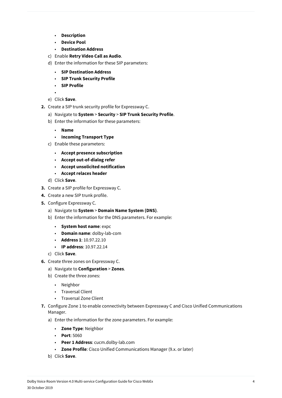- **Description**
- **Device Pool**
- **Destination Address**
- c) Enable **Retry Video Call as Audio**.
- d) Enter the information for these SIP parameters:
	- **SIP Destination Address**
	- **SIP Trunk Security Profile**
	- **SIP Profile**

•

- e) Click **Save**.
- **2.** Create a SIP trunk security profile for Expressway C.
	- a) Navigate to **System** > **Security** > **SIP Trunk Security Profile**.
		- b) Enter the information for these parameters:
			- **Name**
			- **Incoming Transport Type**
		- c) Enable these parameters:
			- **Accept presence subscription**
			- **Accept out-of-dialog refer**
			- **Accept unsolicited notification**
			- **Accept relaces header**
		- d) Click **Save**.
- **3.** Create a SIP profile for Expressway C.
- **4.** Create a new SIP trunk profile.
- **5.** Configure Expressway C.
	- a) Navigate to **System** > **Domain Name System (DNS)**.
	- b) Enter the information for the DNS parameters. For example:
		- **System host name**: expc
		- **Domain name**: dolby-lab-com
		- **Address 1**: 10.97.22.10
		- **IP address**: 10.97.22.14
	- c) Click **Save**.
- **6.** Create three zones on Expressway C.
	- a) Navigate to **Configuration** > **Zones**.
	- b) Create the three zones:
		- Neighbor
		- Traversal Client
		- Traversal Zone Client
- **7.** Configure Zone 1 to enable connectivity between Expressway C and Cisco Unified Communications Manager.
	- a) Enter the information for the zone parameters. For example:
		- **Zone Type**: Neighbor
		- **Port**: 5060
		- **Peer 1 Address**: cucm.dolby-lab.com
		- **Zone Profile**: Cisco Unified Communications Manager (9.x. or later)
	- b) Click **Save**.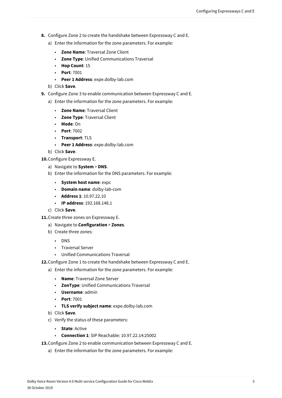- **8.** Configure Zone 2 to create the handshake between Expressway C and E.
	- a) Enter the information for the zone parameters. For example:
		- **Zone Name**: Traversal Zone Client
		- **Zone Type**: Unified Communications Traversal
		- **Hop Count**: 15
		- **Port**: 7001
		- **Peer 1 Address**: expe.dolby-lab.com
	- b) Click **Save**.
- **9.** Configure Zone 3 to enable communication between Expressway C and E.
	- a) Enter the information for the zone parameters. For example:
		- **Zone Name**: Traversal Client
		- **Zone Type**: Traversal Client
		- **Mode**: On
		- **Port**: 7002
		- **Transport**: TLS
		- **Peer 1 Address**: expe.dolby-lab.com
	- b) Click **Save**.

**10.**Configure Expressway E.

- a) Navigate to **System** > **DNS**.
- b) Enter the information for the DNS parameters. For example:
	- **System host name**: expc
	- **Domain name**: dolby-lab-com
	- **Address 1**: 10.97.22.10
	- **IP address**: 192.168.148.1
- c) Click **Save**.
- **11.**Create three zones on Expressway E.
	- a) Navigate to **Configuration** > **Zones**.
	- b) Create three zones:
		- DNS
		- Traversal Server
		- Unified Communications Traversal
- **12.**Configure Zone 1 to create the handshake between Expressway C and E.
	- a) Enter the information for the zone parameters. For example:
		- **Name**: Traversal Zone Server
		- **ZonType**: Unified Communications Traversal
		- **Username**: admin
		- **Port**: 7001
		- **TLS verify subject name**: expe.dolby-lab.com
	- b) Click **Save**.
	- c) Verify the status of these parameters:
		- **State**: Active
		- **Connection 1**: SIP Reachable: 10.97.22.14:25002
- **13.**Configure Zone 2 to enable communication between Expressway C and E.
	- a) Enter the information for the zone parameters. For example: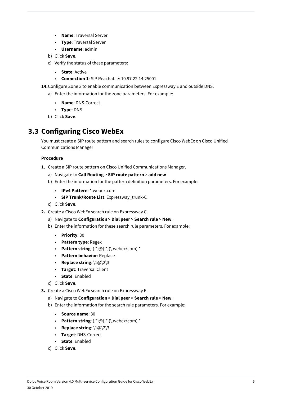- **Name**: Traversal Server
- **Type**: Traversal Server
- **Username**: admin
- b) Click **Save**.
- c) Verify the status of these parameters:
	- **State**: Active
	- **Connection 1**: SIP Reachable: 10.97.22.14:25001
- **14.**Configure Zone 3 to enable communication between Expressway E and outside DNS.
	- a) Enter the information for the zone parameters. For example:
		- **Name**: DNS-Correct
		- **Type**: DNS
	- b) Click **Save**.

### **3.3 Configuring Cisco WebEx**

You must create a SIP route pattern and search rules to configure Cisco WebEx on Cisco Unified Communications Manager

#### **Procedure**

- **1.** Create a SIP route pattern on Cisco Unified Communications Manager.
	- a) Navigate to **Call Routing** > **SIP route pattern** > **add new**
	- b) Enter the information for the pattern definition parameters. For example:
		- **IPv4 Pattern**: \*.webex.com
		- **SIP Trunk/Route List**: Expressway\_trunk-C
	- c) Click **Save**.
- **2.** Create a Cisco WebEx search rule on Expressway C.
	- a) Navigate to **Configuration** > **Dial peer** > **Search rule** > **New**.
	- b) Enter the information for these search rule parameters. For example:
		- **Priority**: 30
		- **Pattern type**: Regex
		- **Pattern string**: (.\*)@(.\*)(\.webex\com).\*
		- **Pattern behavior**: Replace
		- **Replace string**: \1@\2\3
		- **Target**: Traversal Client
		- **State**: Enabled
	- c) Click **Save**.
- **3.** Create a Cisco WebEx search rule on Expressway E.
	- a) Navigate to **Configuration** > **Dial peer** > **Search rule** > **New**.
	- b) Enter the information for the search rule parameters. For example:
		- **Source name**: 30
		- **Pattern string**:  $(.*)@(.*)$ (\.webex\com).\*
		- **Replace string**: \1@\2\3
		- **Target**: DNS-Correct
		- **State**: Enabled
	- c) Click **Save**.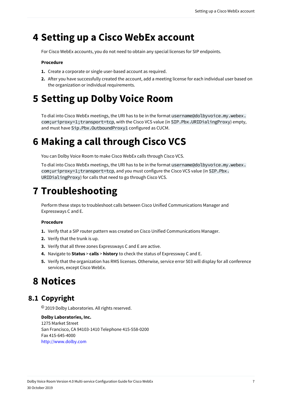## **4 Setting up a Cisco WebEx account**

For Cisco WebEx accounts, you do not need to obtain any special licenses for SIP endpoints.

#### **Procedure**

- **1.** Create a corporate or single user-based account as required.
- **2.** After you have successfully created the account, add a meeting license for each individual user based on the organization or individual requirements.

# **5 Setting up Dolby Voice Room**

To dial into Cisco WebEx meetings, the URI has to be in the format username@dolbyvoice.my.webex. com;uriproxy=1;transport=tcp, with the Cisco VCS value (in SIP.Pbx.URIDialingProxy) empty, and must have Sip.Pbx.OutboundProxy1 configured as CUCM.

## **6 Making a call through Cisco VCS**

You can Dolby Voice Room to make Cisco WebEx calls through Cisco VCS.

To dial into Cisco WebEx meetings, the URI has to be in the format username@dolbyvoice.my.webex. com;uriproxy=1;transport=tcp, and you must configure the Cisco VCS value (in SIP.Pbx. URIDialingProxy) for calls that need to go through Cisco VCS.

## **7 Troubleshooting**

Perform these steps to troubleshoot calls between Cisco Unified Communications Manager and Expressways C and E.

#### **Procedure**

- **1.** Verify that a SIP router pattern was created on Cisco Unified Communications Manager.
- **2.** Verify that the trunk is up.
- **3.** Verify that all three zones Expressways C and E are active.
- **4.** Navigate to **Status** > **calls** > **history** to check the status of Expressway C and E.
- **5.** Verify that the organization has RMS licenses. Otherwise, service error 503 will display for all conference services, except Cisco WebEx.

## **8 Notices**

### **8.1 Copyright**

© 2019 Dolby Laboratories. All rights reserved.

**Dolby Laboratories, Inc.** 1275 Market Street San Francisco, CA 94103-1410 Telephone 415-558-0200 Fax 415-645-4000 <http://www.dolby.com>